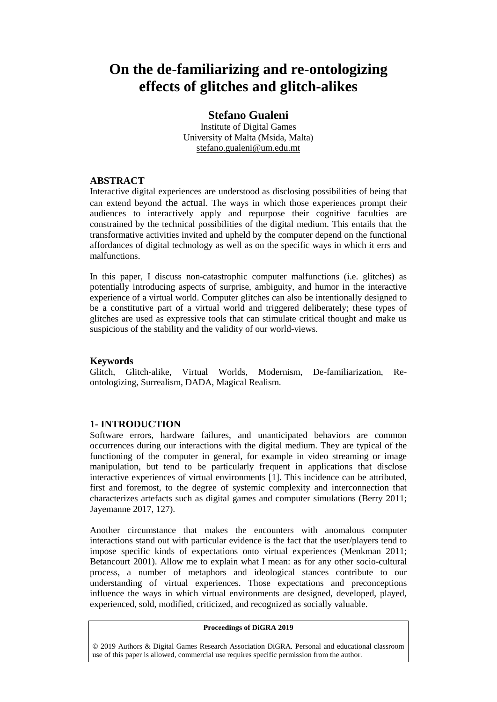# **On the de-familiarizing and re-ontologizing effects of glitches and glitch-alikes**

# **Stefano Gualeni**

Institute of Digital Games University of Malta (Msida, Malta) stefano.gualeni@um.edu.mt

## **ABSTRACT**

Interactive digital experiences are understood as disclosing possibilities of being that can extend beyond the actual. The ways in which those experiences prompt their audiences to interactively apply and repurpose their cognitive faculties are constrained by the technical possibilities of the digital medium. This entails that the transformative activities invited and upheld by the computer depend on the functional affordances of digital technology as well as on the specific ways in which it errs and malfunctions.

In this paper, I discuss non-catastrophic computer malfunctions (i.e. glitches) as potentially introducing aspects of surprise, ambiguity, and humor in the interactive experience of a virtual world. Computer glitches can also be intentionally designed to be a constitutive part of a virtual world and triggered deliberately; these types of glitches are used as expressive tools that can stimulate critical thought and make us suspicious of the stability and the validity of our world-views.

## **Keywords**

Glitch, Glitch-alike, Virtual Worlds, Modernism, De-familiarization, Reontologizing, Surrealism, DADA, Magical Realism.

# **1- INTRODUCTION**

Software errors, hardware failures, and unanticipated behaviors are common occurrences during our interactions with the digital medium. They are typical of the functioning of the computer in general, for example in video streaming or image manipulation, but tend to be particularly frequent in applications that disclose interactive experiences of virtual environments [1]. This incidence can be attributed, first and foremost, to the degree of systemic complexity and interconnection that characterizes artefacts such as digital games and computer simulations (Berry 2011; Jayemanne 2017, 127).

Another circumstance that makes the encounters with anomalous computer interactions stand out with particular evidence is the fact that the user/players tend to impose specific kinds of expectations onto virtual experiences (Menkman 2011; Betancourt 2001). Allow me to explain what I mean: as for any other socio-cultural process, a number of metaphors and ideological stances contribute to our understanding of virtual experiences. Those expectations and preconceptions influence the ways in which virtual environments are designed, developed, played, experienced, sold, modified, criticized, and recognized as socially valuable.

#### **Proceedings of DiGRA 2019**

© 2019 Authors & Digital Games Research Association DiGRA. Personal and educational classroom use of this paper is allowed, commercial use requires specific permission from the author.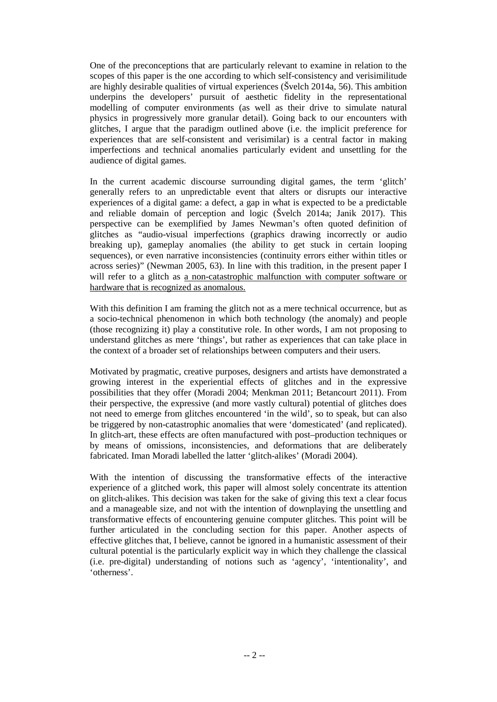One of the preconceptions that are particularly relevant to examine in relation to the scopes of this paper is the one according to which self-consistency and verisimilitude are highly desirable qualities of virtual experiences (Švelch 2014a, 56). This ambition underpins the developers' pursuit of aesthetic fidelity in the representational modelling of computer environments (as well as their drive to simulate natural physics in progressively more granular detail). Going back to our encounters with glitches, I argue that the paradigm outlined above (i.e. the implicit preference for experiences that are self-consistent and verisimilar) is a central factor in making imperfections and technical anomalies particularly evident and unsettling for the audience of digital games.

In the current academic discourse surrounding digital games, the term 'glitch' generally refers to an unpredictable event that alters or disrupts our interactive experiences of a digital game: a defect, a gap in what is expected to be a predictable and reliable domain of perception and logic (Švelch 2014a; Janik 2017). This perspective can be exemplified by James Newman's often quoted definition of glitches as "audio-visual imperfections (graphics drawing incorrectly or audio breaking up), gameplay anomalies (the ability to get stuck in certain looping sequences), or even narrative inconsistencies (continuity errors either within titles or across series)" (Newman 2005, 63). In line with this tradition, in the present paper I will refer to a glitch as a non-catastrophic malfunction with computer software or hardware that is recognized as anomalous.

With this definition I am framing the glitch not as a mere technical occurrence, but as a socio-technical phenomenon in which both technology (the anomaly) and people (those recognizing it) play a constitutive role. In other words, I am not proposing to understand glitches as mere 'things', but rather as experiences that can take place in the context of a broader set of relationships between computers and their users.

Motivated by pragmatic, creative purposes, designers and artists have demonstrated a growing interest in the experiential effects of glitches and in the expressive possibilities that they offer (Moradi 2004; Menkman 2011; Betancourt 2011). From their perspective, the expressive (and more vastly cultural) potential of glitches does not need to emerge from glitches encountered 'in the wild', so to speak, but can also be triggered by non-catastrophic anomalies that were 'domesticated' (and replicated). In glitch-art, these effects are often manufactured with post–production techniques or by means of omissions, inconsistencies, and deformations that are deliberately fabricated. Iman Moradi labelled the latter 'glitch-alikes' (Moradi 2004).

With the intention of discussing the transformative effects of the interactive experience of a glitched work, this paper will almost solely concentrate its attention on glitch-alikes. This decision was taken for the sake of giving this text a clear focus and a manageable size, and not with the intention of downplaying the unsettling and transformative effects of encountering genuine computer glitches. This point will be further articulated in the concluding section for this paper. Another aspects of effective glitches that, I believe, cannot be ignored in a humanistic assessment of their cultural potential is the particularly explicit way in which they challenge the classical (i.e. pre-digital) understanding of notions such as 'agency', 'intentionality', and 'otherness'.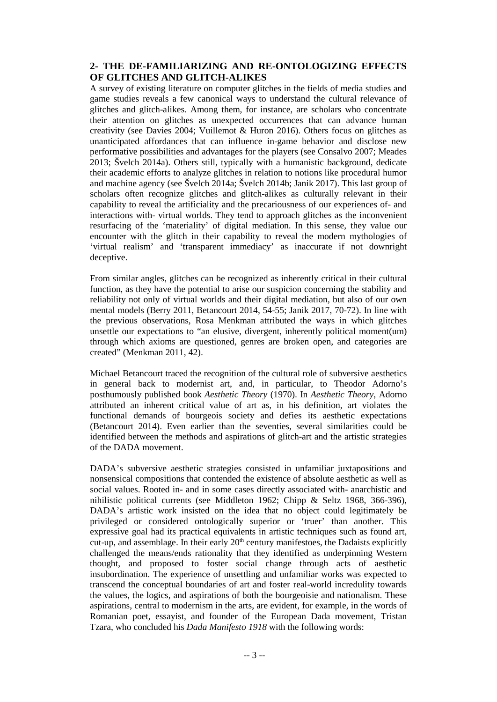# **2- THE DE-FAMILIARIZING AND RE-ONTOLOGIZING EFFECTS OF GLITCHES AND GLITCH-ALIKES**

A survey of existing literature on computer glitches in the fields of media studies and game studies reveals a few canonical ways to understand the cultural relevance of glitches and glitch-alikes. Among them, for instance, are scholars who concentrate their attention on glitches as unexpected occurrences that can advance human creativity (see Davies 2004; Vuillemot & Huron 2016). Others focus on glitches as unanticipated affordances that can influence in-game behavior and disclose new performative possibilities and advantages for the players (see Consalvo 2007; Meades 2013; Švelch 2014a). Others still, typically with a humanistic background, dedicate their academic efforts to analyze glitches in relation to notions like procedural humor and machine agency (see Švelch 2014a; Švelch 2014b; Janik 2017). This last group of scholars often recognize glitches and glitch-alikes as culturally relevant in their capability to reveal the artificiality and the precariousness of our experiences of- and interactions with- virtual worlds. They tend to approach glitches as the inconvenient resurfacing of the 'materiality' of digital mediation. In this sense, they value our encounter with the glitch in their capability to reveal the modern mythologies of 'virtual realism' and 'transparent immediacy' as inaccurate if not downright deceptive.

From similar angles, glitches can be recognized as inherently critical in their cultural function, as they have the potential to arise our suspicion concerning the stability and reliability not only of virtual worlds and their digital mediation, but also of our own mental models (Berry 2011, Betancourt 2014, 54-55; Janik 2017, 70-72). In line with the previous observations, Rosa Menkman attributed the ways in which glitches unsettle our expectations to "an elusive, divergent, inherently political moment(um) through which axioms are questioned, genres are broken open, and categories are created" (Menkman 2011, 42).

Michael Betancourt traced the recognition of the cultural role of subversive aesthetics in general back to modernist art, and, in particular, to Theodor Adorno's posthumously published book *Aesthetic Theory* (1970). In *Aesthetic Theory*, Adorno attributed an inherent critical value of art as, in his definition, art violates the functional demands of bourgeois society and defies its aesthetic expectations (Betancourt 2014). Even earlier than the seventies, several similarities could be identified between the methods and aspirations of glitch-art and the artistic strategies of the DADA movement.

DADA's subversive aesthetic strategies consisted in unfamiliar juxtapositions and nonsensical compositions that contended the existence of absolute aesthetic as well as social values. Rooted in- and in some cases directly associated with- anarchistic and nihilistic political currents (see Middleton 1962; Chipp & Seltz 1968, 366-396), DADA's artistic work insisted on the idea that no object could legitimately be privileged or considered ontologically superior or 'truer' than another. This expressive goal had its practical equivalents in artistic techniques such as found art, cut-up, and assemblage. In their early  $20<sup>th</sup>$  century manifestoes, the Dadaists explicitly challenged the means/ends rationality that they identified as underpinning Western thought, and proposed to foster social change through acts of aesthetic insubordination. The experience of unsettling and unfamiliar works was expected to transcend the conceptual boundaries of art and foster real-world incredulity towards the values, the logics, and aspirations of both the bourgeoisie and nationalism. These aspirations, central to modernism in the arts, are evident, for example, in the words of Romanian poet, essayist, and founder of the European Dada movement, Tristan Tzara, who concluded his *Dada Manifesto 1918* with the following words: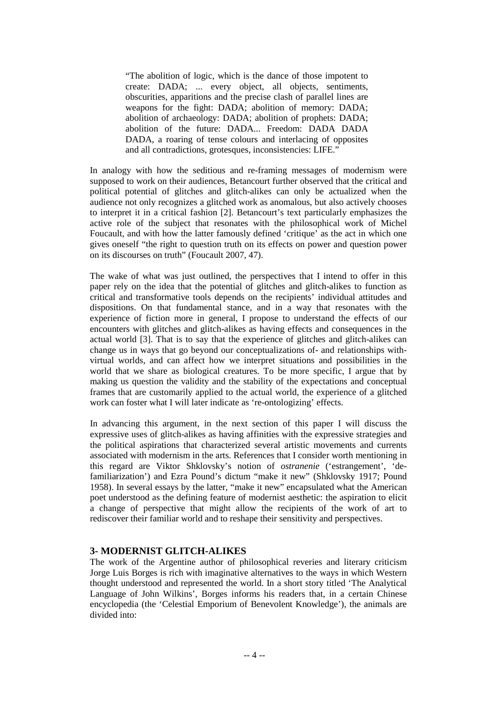"The abolition of logic, which is the dance of those impotent to create: DADA; ... every object, all objects, sentiments, obscurities, apparitions and the precise clash of parallel lines are weapons for the fight: DADA; abolition of memory: DADA; abolition of archaeology: DADA; abolition of prophets: DADA; abolition of the future: DADA... Freedom: DADA DADA DADA, a roaring of tense colours and interlacing of opposites and all contradictions, grotesques, inconsistencies: LIFE."

In analogy with how the seditious and re-framing messages of modernism were supposed to work on their audiences, Betancourt further observed that the critical and political potential of glitches and glitch-alikes can only be actualized when the audience not only recognizes a glitched work as anomalous, but also actively chooses to interpret it in a critical fashion [2]. Betancourt's text particularly emphasizes the active role of the subject that resonates with the philosophical work of Michel Foucault, and with how the latter famously defined 'critique' as the act in which one gives oneself "the right to question truth on its effects on power and question power on its discourses on truth" (Foucault 2007, 47).

The wake of what was just outlined, the perspectives that I intend to offer in this paper rely on the idea that the potential of glitches and glitch-alikes to function as critical and transformative tools depends on the recipients' individual attitudes and dispositions. On that fundamental stance, and in a way that resonates with the experience of fiction more in general, I propose to understand the effects of our encounters with glitches and glitch-alikes as having effects and consequences in the actual world [3]. That is to say that the experience of glitches and glitch-alikes can change us in ways that go beyond our conceptualizations of- and relationships withvirtual worlds, and can affect how we interpret situations and possibilities in the world that we share as biological creatures. To be more specific, I argue that by making us question the validity and the stability of the expectations and conceptual frames that are customarily applied to the actual world, the experience of a glitched work can foster what I will later indicate as 're-ontologizing' effects.

In advancing this argument, in the next section of this paper I will discuss the expressive uses of glitch-alikes as having affinities with the expressive strategies and the political aspirations that characterized several artistic movements and currents associated with modernism in the arts. References that I consider worth mentioning in this regard are Viktor Shklovsky's notion of *ostranenie* ('estrangement', 'defamiliarization') and Ezra Pound's dictum "make it new" (Shklovsky 1917; Pound 1958). In several essays by the latter, "make it new" encapsulated what the American poet understood as the defining feature of modernist aesthetic: the aspiration to elicit a change of perspective that might allow the recipients of the work of art to rediscover their familiar world and to reshape their sensitivity and perspectives.

## **3- MODERNIST GLITCH-ALIKES**

The work of the Argentine author of philosophical reveries and literary criticism Jorge Luis Borges is rich with imaginative alternatives to the ways in which Western thought understood and represented the world. In a short story titled 'The Analytical Language of John Wilkins', Borges informs his readers that, in a certain Chinese encyclopedia (the 'Celestial Emporium of Benevolent Knowledge'), the animals are divided into: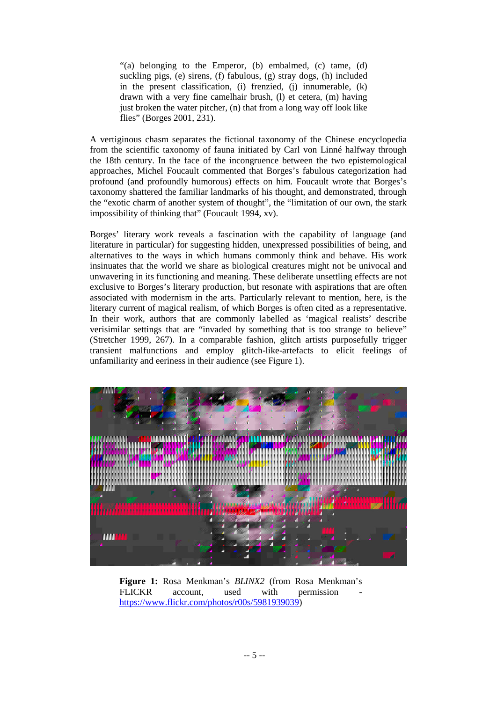"(a) belonging to the Emperor, (b) embalmed, (c) tame, (d) suckling pigs, (e) sirens, (f) fabulous, (g) stray dogs, (h) included in the present classification, (i) frenzied, (j) innumerable, (k) drawn with a very fine camelhair brush, (l) et cetera, (m) having just broken the water pitcher, (n) that from a long way off look like flies" (Borges 2001, 231).

A vertiginous chasm separates the fictional taxonomy of the Chinese encyclopedia from the scientific taxonomy of fauna initiated by Carl von Linné halfway through the 18th century. In the face of the incongruence between the two epistemological approaches, Michel Foucault commented that Borges's fabulous categorization had profound (and profoundly humorous) effects on him. Foucault wrote that Borges's taxonomy shattered the familiar landmarks of his thought, and demonstrated, through the "exotic charm of another system of thought", the "limitation of our own, the stark impossibility of thinking that" (Foucault 1994, xv).

Borges' literary work reveals a fascination with the capability of language (and literature in particular) for suggesting hidden, unexpressed possibilities of being, and alternatives to the ways in which humans commonly think and behave. His work insinuates that the world we share as biological creatures might not be univocal and unwavering in its functioning and meaning. These deliberate unsettling effects are not exclusive to Borges's literary production, but resonate with aspirations that are often associated with modernism in the arts. Particularly relevant to mention, here, is the literary current of magical realism, of which Borges is often cited as a representative. In their work, authors that are commonly labelled as 'magical realists' describe verisimilar settings that are "invaded by something that is too strange to believe" (Stretcher 1999, 267). In a comparable fashion, glitch artists purposefully trigger transient malfunctions and employ glitch-like-artefacts to elicit feelings of unfamiliarity and eeriness in their audience (see Figure 1).



**Figure 1:** Rosa Menkman's *BLINX2* (from Rosa Menkman's FLICKR account, used with permission [https://www.flickr.com/photos/r00s/5981939039\)](https://www.flickr.com/photos/r00s/5981939039)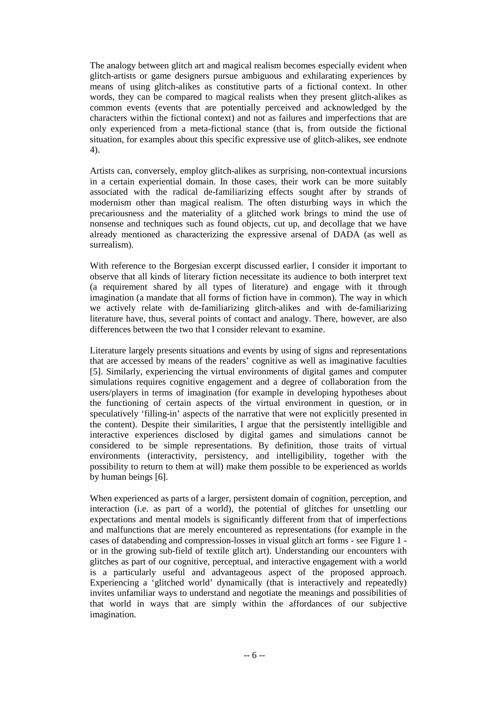The analogy between glitch art and magical realism becomes especially evident when glitch-artists or game designers pursue ambiguous and exhilarating experiences by means of using glitch-alikes as constitutive parts of a fictional context. In other words, they can be compared to magical realists when they present glitch-alikes as common events (events that are potentially perceived and acknowledged by the characters within the fictional context) and not as failures and imperfections that are only experienced from a meta-fictional stance (that is, from outside the fictional situation, for examples about this specific expressive use of glitch-alikes, see endnote 4).

Artists can, conversely, employ glitch-alikes as surprising, non-contextual incursions in a certain experiential domain. In those cases, their work can be more suitably associated with the radical de-familiarizing effects sought after by strands of modernism other than magical realism. The often disturbing ways in which the precariousness and the materiality of a glitched work brings to mind the use of nonsense and techniques such as found objects, cut up, and decollage that we have already mentioned as characterizing the expressive arsenal of DADA (as well as surrealism).

With reference to the Borgesian excerpt discussed earlier, I consider it important to observe that all kinds of literary fiction necessitate its audience to both interpret text (a requirement shared by all types of literature) and engage with it through imagination (a mandate that all forms of fiction have in common). The way in which we actively relate with de-familiarizing glitch-alikes and with de-familiarizing literature have, thus, several points of contact and analogy. There, however, are also differences between the two that I consider relevant to examine.

Literature largely presents situations and events by using of signs and representations that are accessed by means of the readers' cognitive as well as imaginative faculties [5]. Similarly, experiencing the virtual environments of digital games and computer simulations requires cognitive engagement and a degree of collaboration from the users/players in terms of imagination (for example in developing hypotheses about the functioning of certain aspects of the virtual environment in question, or in speculatively 'filling-in' aspects of the narrative that were not explicitly presented in the content). Despite their similarities, I argue that the persistently intelligible and interactive experiences disclosed by digital games and simulations cannot be considered to be simple representations. By definition, those traits of virtual environments (interactivity, persistency, and intelligibility, together with the possibility to return to them at will) make them possible to be experienced as worlds by human beings [6].

When experienced as parts of a larger, persistent domain of cognition, perception, and interaction (i.e. as part of a world), the potential of glitches for unsettling our expectations and mental models is significantly different from that of imperfections and malfunctions that are merely encountered as representations (for example in the cases of databending and compression-losses in visual glitch art forms - see Figure 1 or in the growing sub-field of textile glitch art). Understanding our encounters with glitches as part of our cognitive, perceptual, and interactive engagement with a world is a particularly useful and advantageous aspect of the proposed approach. Experiencing a 'glitched world' dynamically (that is interactively and repeatedly) invites unfamiliar ways to understand and negotiate the meanings and possibilities of that world in ways that are simply within the affordances of our subjective imagination.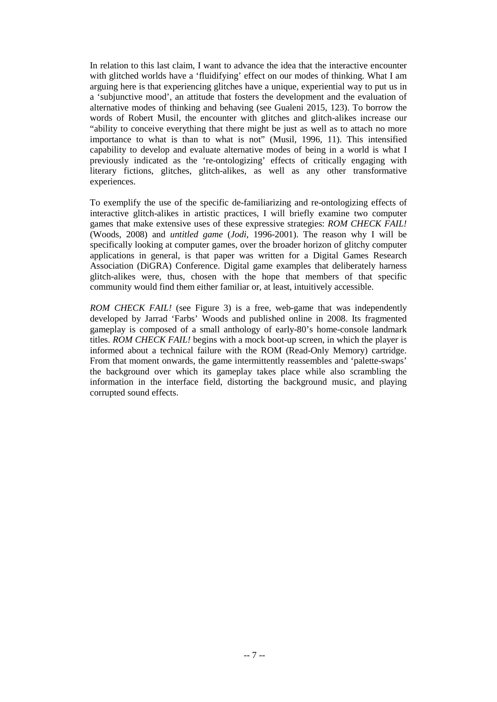In relation to this last claim, I want to advance the idea that the interactive encounter with glitched worlds have a 'fluidifying' effect on our modes of thinking. What I am arguing here is that experiencing glitches have a unique, experiential way to put us in a 'subjunctive mood', an attitude that fosters the development and the evaluation of alternative modes of thinking and behaving (see Gualeni 2015, 123). To borrow the words of Robert Musil, the encounter with glitches and glitch-alikes increase our "ability to conceive everything that there might be just as well as to attach no more importance to what is than to what is not" (Musil, 1996, 11). This intensified capability to develop and evaluate alternative modes of being in a world is what I previously indicated as the 're-ontologizing' effects of critically engaging with literary fictions, glitches, glitch-alikes, as well as any other transformative experiences.

To exemplify the use of the specific de-familiarizing and re-ontologizing effects of interactive glitch-alikes in artistic practices, I will briefly examine two computer games that make extensive uses of these expressive strategies: *ROM CHECK FAIL!*  (Woods, 2008) and *untitled game* (*Jodi*, 1996-2001). The reason why I will be specifically looking at computer games, over the broader horizon of glitchy computer applications in general, is that paper was written for a Digital Games Research Association (DiGRA) Conference. Digital game examples that deliberately harness glitch-alikes were, thus, chosen with the hope that members of that specific community would find them either familiar or, at least, intuitively accessible.

*ROM CHECK FAIL!* (see Figure 3) is a free, web-game that was independently developed by Jarrad 'Farbs' Woods and published online in 2008. Its fragmented gameplay is composed of a small anthology of early-80's home-console landmark titles. *ROM CHECK FAIL!* begins with a mock boot-up screen, in which the player is informed about a technical failure with the ROM (Read-Only Memory) cartridge. From that moment onwards, the game intermittently reassembles and 'palette-swaps' the background over which its gameplay takes place while also scrambling the information in the interface field, distorting the background music, and playing corrupted sound effects.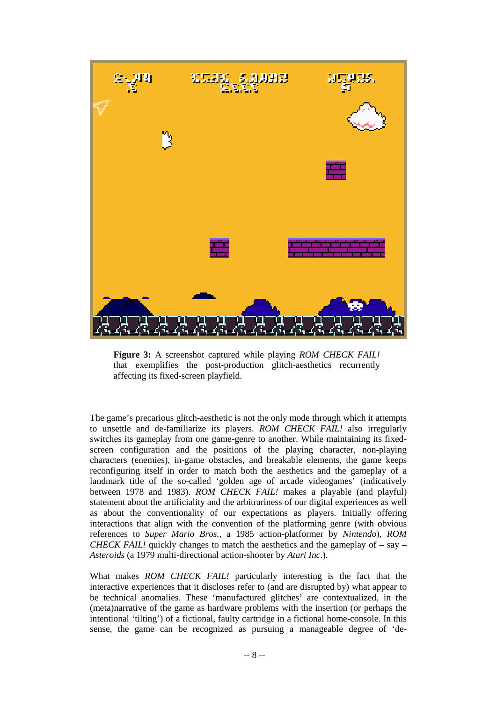

**Figure 3:** A screenshot captured while playing *ROM CHECK FAIL!* that exemplifies the post-production glitch-aesthetics recurrently affecting its fixed-screen playfield.

The game's precarious glitch-aesthetic is not the only mode through which it attempts to unsettle and de-familiarize its players. *ROM CHECK FAIL!* also irregularly switches its gameplay from one game-genre to another. While maintaining its fixedscreen configuration and the positions of the playing character, non-playing characters (enemies), in-game obstacles, and breakable elements, the game keeps reconfiguring itself in order to match both the aesthetics and the gameplay of a landmark title of the so-called 'golden age of arcade videogames' (indicatively between 1978 and 1983). *ROM CHECK FAIL!* makes a playable (and playful) statement about the artificiality and the arbitrariness of our digital experiences as well as about the conventionality of our expectations as players. Initially offering interactions that align with the convention of the platforming genre (with obvious references to *Super Mario Bros.*, a 1985 action-platformer by *Nintendo*), *ROM CHECK FAIL!* quickly changes to match the aesthetics and the gameplay of  $-$  say  $-$ *Asteroids* (a 1979 multi-directional action-shooter by *Atari Inc*.).

What makes *ROM CHECK FAIL!* particularly interesting is the fact that the interactive experiences that it discloses refer to (and are disrupted by) what appear to be technical anomalies. These 'manufactured glitches' are contextualized, in the (meta)narrative of the game as hardware problems with the insertion (or perhaps the intentional 'tilting') of a fictional, faulty cartridge in a fictional home-console. In this sense, the game can be recognized as pursuing a manageable degree of 'de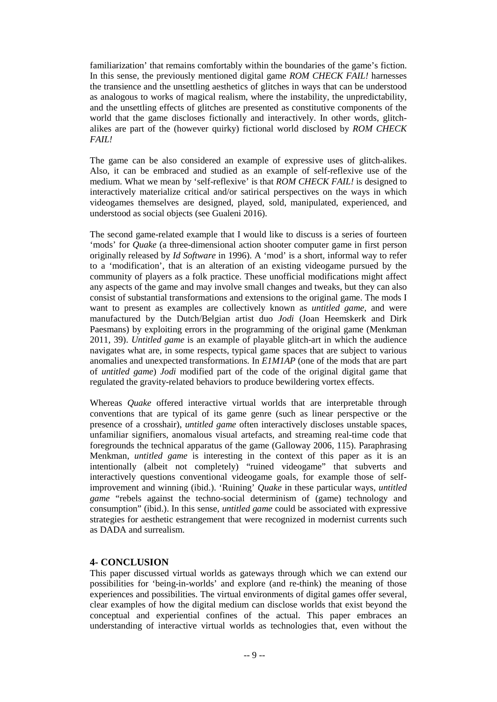familiarization' that remains comfortably within the boundaries of the game's fiction. In this sense, the previously mentioned digital game *ROM CHECK FAIL!* harnesses the transience and the unsettling aesthetics of glitches in ways that can be understood as analogous to works of magical realism, where the instability, the unpredictability, and the unsettling effects of glitches are presented as constitutive components of the world that the game discloses fictionally and interactively. In other words, glitchalikes are part of the (however quirky) fictional world disclosed by *ROM CHECK FAIL!*

The game can be also considered an example of expressive uses of glitch-alikes. Also, it can be embraced and studied as an example of self-reflexive use of the medium. What we mean by 'self-reflexive' is that *ROM CHECK FAIL!* is designed to interactively materialize critical and/or satirical perspectives on the ways in which videogames themselves are designed, played, sold, manipulated, experienced, and understood as social objects (see Gualeni 2016).

The second game-related example that I would like to discuss is a series of fourteen 'mods' for *Quake* (a three-dimensional action shooter computer game in first person originally released by *Id Software* in 1996). A 'mod' is a short, informal way to refer to a 'modification', that is an alteration of an existing videogame pursued by the community of players as a folk practice. These unofficial modifications might affect any aspects of the game and may involve small changes and tweaks, but they can also consist of substantial transformations and extensions to the original game. The mods I want to present as examples are collectively known as *untitled game*, and were manufactured by the Dutch/Belgian artist duo *Jodi* (Joan Heemskerk and Dirk Paesmans) by exploiting errors in the programming of the original game (Menkman 2011, 39). *Untitled game* is an example of playable glitch-art in which the audience navigates what are, in some respects, typical game spaces that are subject to various anomalies and unexpected transformations. In *E1M1AP* (one of the mods that are part of *untitled game*) *Jodi* modified part of the code of the original digital game that regulated the gravity-related behaviors to produce bewildering vortex effects.

Whereas *Quake* offered interactive virtual worlds that are interpretable through conventions that are typical of its game genre (such as linear perspective or the presence of a crosshair), *untitled game* often interactively discloses unstable spaces, unfamiliar signifiers, anomalous visual artefacts, and streaming real-time code that foregrounds the technical apparatus of the game (Galloway 2006, 115). Paraphrasing Menkman, *untitled game* is interesting in the context of this paper as it is an intentionally (albeit not completely) "ruined videogame" that subverts and interactively questions conventional videogame goals, for example those of selfimprovement and winning (ibid.). 'Ruining' *Quake* in these particular ways, *untitled game* "rebels against the techno-social determinism of (game) technology and consumption" (ibid.). In this sense, *untitled game* could be associated with expressive strategies for aesthetic estrangement that were recognized in modernist currents such as DADA and surrealism.

# **4- CONCLUSION**

This paper discussed virtual worlds as gateways through which we can extend our possibilities for 'being-in-worlds' and explore (and re-think) the meaning of those experiences and possibilities. The virtual environments of digital games offer several, clear examples of how the digital medium can disclose worlds that exist beyond the conceptual and experiential confines of the actual. This paper embraces an understanding of interactive virtual worlds as technologies that, even without the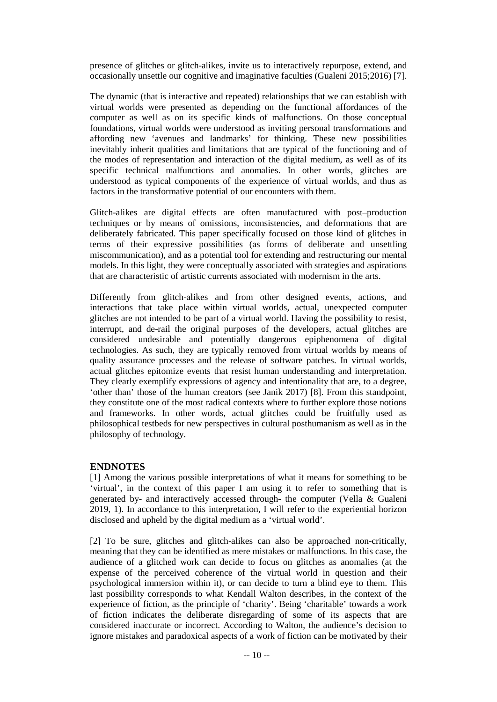presence of glitches or glitch-alikes, invite us to interactively repurpose, extend, and occasionally unsettle our cognitive and imaginative faculties (Gualeni 2015;2016) [7].

The dynamic (that is interactive and repeated) relationships that we can establish with virtual worlds were presented as depending on the functional affordances of the computer as well as on its specific kinds of malfunctions. On those conceptual foundations, virtual worlds were understood as inviting personal transformations and affording new 'avenues and landmarks' for thinking. These new possibilities inevitably inherit qualities and limitations that are typical of the functioning and of the modes of representation and interaction of the digital medium, as well as of its specific technical malfunctions and anomalies. In other words, glitches are understood as typical components of the experience of virtual worlds, and thus as factors in the transformative potential of our encounters with them.

Glitch-alikes are digital effects are often manufactured with post–production techniques or by means of omissions, inconsistencies, and deformations that are deliberately fabricated. This paper specifically focused on those kind of glitches in terms of their expressive possibilities (as forms of deliberate and unsettling miscommunication), and as a potential tool for extending and restructuring our mental models. In this light, they were conceptually associated with strategies and aspirations that are characteristic of artistic currents associated with modernism in the arts.

Differently from glitch-alikes and from other designed events, actions, and interactions that take place within virtual worlds, actual, unexpected computer glitches are not intended to be part of a virtual world. Having the possibility to resist, interrupt, and de-rail the original purposes of the developers, actual glitches are considered undesirable and potentially dangerous epiphenomena of digital technologies. As such, they are typically removed from virtual worlds by means of quality assurance processes and the release of software patches. In virtual worlds, actual glitches epitomize events that resist human understanding and interpretation. They clearly exemplify expressions of agency and intentionality that are, to a degree, 'other than' those of the human creators (see Janik 2017) [8]. From this standpoint, they constitute one of the most radical contexts where to further explore those notions and frameworks. In other words, actual glitches could be fruitfully used as philosophical testbeds for new perspectives in cultural posthumanism as well as in the philosophy of technology.

## **ENDNOTES**

[1] Among the various possible interpretations of what it means for something to be 'virtual', in the context of this paper I am using it to refer to something that is generated by- and interactively accessed through- the computer (Vella & Gualeni 2019, 1). In accordance to this interpretation, I will refer to the experiential horizon disclosed and upheld by the digital medium as a 'virtual world'.

[2] To be sure, glitches and glitch-alikes can also be approached non-critically, meaning that they can be identified as mere mistakes or malfunctions. In this case, the audience of a glitched work can decide to focus on glitches as anomalies (at the expense of the perceived coherence of the virtual world in question and their psychological immersion within it), or can decide to turn a blind eye to them. This last possibility corresponds to what Kendall Walton describes, in the context of the experience of fiction, as the principle of 'charity'. Being 'charitable' towards a work of fiction indicates the deliberate disregarding of some of its aspects that are considered inaccurate or incorrect. According to Walton, the audience's decision to ignore mistakes and paradoxical aspects of a work of fiction can be motivated by their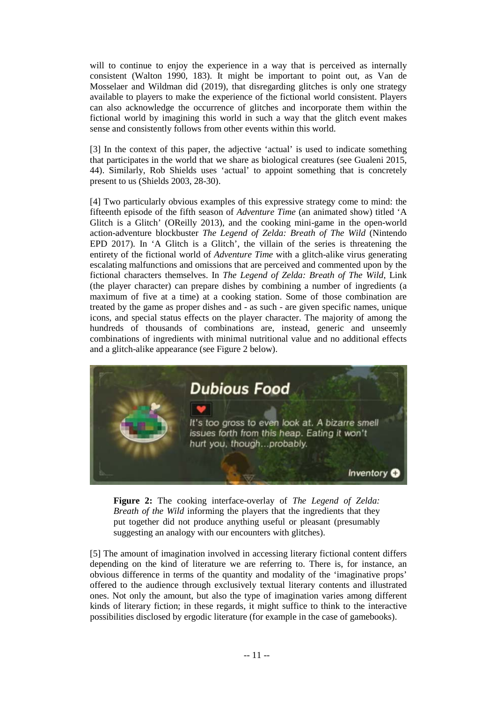will to continue to enjoy the experience in a way that is perceived as internally consistent (Walton 1990, 183). It might be important to point out, as Van de Mosselaer and Wildman did (2019), that disregarding glitches is only one strategy available to players to make the experience of the fictional world consistent. Players can also acknowledge the occurrence of glitches and incorporate them within the fictional world by imagining this world in such a way that the glitch event makes sense and consistently follows from other events within this world.

[3] In the context of this paper, the adjective 'actual' is used to indicate something that participates in the world that we share as biological creatures (see Gualeni 2015, 44). Similarly, Rob Shields uses 'actual' to appoint something that is concretely present to us (Shields 2003, 28-30).

[4] Two particularly obvious examples of this expressive strategy come to mind: the fifteenth episode of the fifth season of *Adventure Time* (an animated show) titled 'A Glitch is a Glitch' (OReilly 2013), and the cooking mini-game in the open-world action-adventure blockbuster *The Legend of Zelda: Breath of The Wild* (Nintendo EPD 2017). In 'A Glitch is a Glitch', the villain of the series is threatening the entirety of the fictional world of *Adventure Time* with a glitch-alike virus generating escalating malfunctions and omissions that are perceived and commented upon by the fictional characters themselves. In *The Legend of Zelda: Breath of The Wild*, Link (the player character) can prepare dishes by combining a number of ingredients (a maximum of five at a time) at a cooking station. Some of those combination are treated by the game as proper dishes and - as such - are given specific names, unique icons, and special status effects on the player character. The majority of among the hundreds of thousands of combinations are, instead, generic and unseemly combinations of ingredients with minimal nutritional value and no additional effects and a glitch-alike appearance (see Figure 2 below).



**Figure 2:** The cooking interface-overlay of *The Legend of Zelda: Breath of the Wild* informing the players that the ingredients that they put together did not produce anything useful or pleasant (presumably suggesting an analogy with our encounters with glitches).

[5] The amount of imagination involved in accessing literary fictional content differs depending on the kind of literature we are referring to. There is, for instance, an obvious difference in terms of the quantity and modality of the 'imaginative props' offered to the audience through exclusively textual literary contents and illustrated ones. Not only the amount, but also the type of imagination varies among different kinds of literary fiction; in these regards, it might suffice to think to the interactive possibilities disclosed by ergodic literature (for example in the case of gamebooks).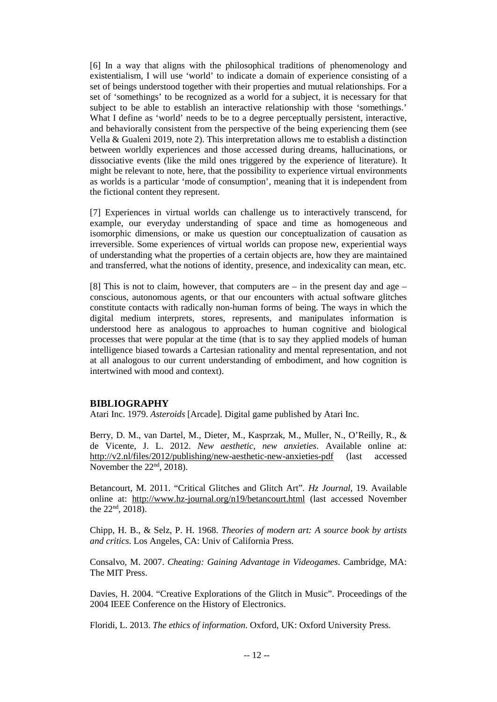[6] In a way that aligns with the philosophical traditions of phenomenology and existentialism, I will use 'world' to indicate a domain of experience consisting of a set of beings understood together with their properties and mutual relationships. For a set of 'somethings' to be recognized as a world for a subject, it is necessary for that subject to be able to establish an interactive relationship with those 'somethings.' What I define as 'world' needs to be to a degree perceptually persistent, interactive, and behaviorally consistent from the perspective of the being experiencing them (see Vella & Gualeni 2019, note 2). This interpretation allows me to establish a distinction between worldly experiences and those accessed during dreams, hallucinations, or dissociative events (like the mild ones triggered by the experience of literature). It might be relevant to note, here, that the possibility to experience virtual environments as worlds is a particular 'mode of consumption', meaning that it is independent from the fictional content they represent.

[7] Experiences in virtual worlds can challenge us to interactively transcend, for example, our everyday understanding of space and time as homogeneous and isomorphic dimensions, or make us question our conceptualization of causation as irreversible. Some experiences of virtual worlds can propose new, experiential ways of understanding what the properties of a certain objects are, how they are maintained and transferred, what the notions of identity, presence, and indexicality can mean, etc.

[8] This is not to claim, however, that computers are – in the present day and age – conscious, autonomous agents, or that our encounters with actual software glitches constitute contacts with radically non-human forms of being. The ways in which the digital medium interprets, stores, represents, and manipulates information is understood here as analogous to approaches to human cognitive and biological processes that were popular at the time (that is to say they applied models of human intelligence biased towards a Cartesian rationality and mental representation, and not at all analogous to our current understanding of embodiment, and how cognition is intertwined with mood and context).

## **BIBLIOGRAPHY**

Atari Inc. 1979. *Asteroids* [Arcade]. Digital game published by Atari Inc.

Berry, D. M., van Dartel, M., Dieter, M., Kasprzak, M., Muller, N., O'Reilly, R., & de Vicente, J. L. 2012. *New aesthetic, new anxieties*. Available online at: <http://v2.nl/files/2012/publishing/new-aesthetic-new-anxieties-pdf> (last accessed November the  $22<sup>nd</sup>$ , 2018).

Betancourt, M. 2011. "Critical Glitches and Glitch Art"*. Hz Journal*, 19. Available online at: <http://www.hz-journal.org/n19/betancourt.html> (last accessed November the  $22^{nd}$ ,  $2018$ ).

Chipp, H. B., & Selz, P. H. 1968. *Theories of modern art: A source book by artists and critics*. Los Angeles, CA: Univ of California Press.

Consalvo, M. 2007. *Cheating: Gaining Advantage in Videogames*. Cambridge, MA: The MIT Press.

Davies, H. 2004. "Creative Explorations of the Glitch in Music". Proceedings of the 2004 IEEE Conference on the History of Electronics.

Floridi, L. 2013. *The ethics of information*. Oxford, UK: Oxford University Press.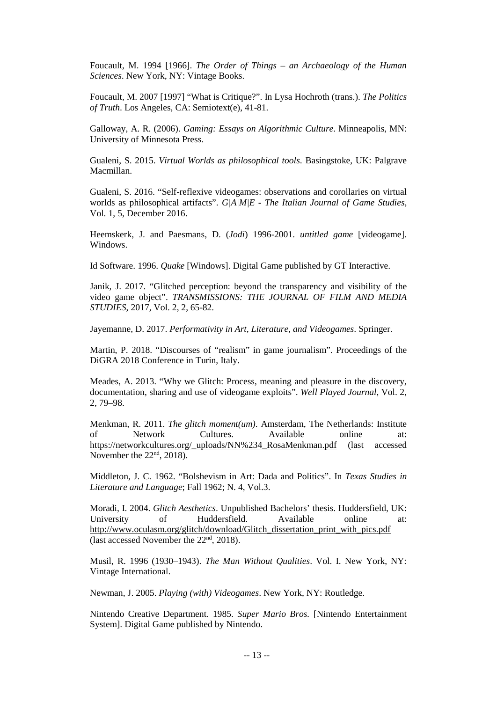Foucault, M. 1994 [1966]. *The Order of Things – an Archaeology of the Human Sciences*. New York, NY: Vintage Books.

Foucault, M. 2007 [1997] "What is Critique?". In Lysa Hochroth (trans.). *The Politics of Truth*. Los Angeles, CA: Semiotext(e), 41-81.

Galloway, A. R. (2006). *Gaming: Essays on Algorithmic Culture*. Minneapolis, MN: University of Minnesota Press.

Gualeni, S. 2015. *Virtual Worlds as philosophical tools*. Basingstoke, UK: Palgrave Macmillan.

Gualeni, S. 2016. "Self-reflexive videogames: observations and corollaries on virtual worlds as philosophical artifacts". *G|A|M|E - The Italian Journal of Game Studies*, Vol. 1, 5, December 2016.

Heemskerk, J. and Paesmans, D. (*Jodi*) 1996-2001. *untitled game* [videogame]. Windows.

Id Software. 1996. *Quake* [Windows]. Digital Game published by GT Interactive.

Janik, J. 2017. "Glitched perception: beyond the transparency and visibility of the video game object". *TRANSMISSIONS: THE JOURNAL OF FILM AND MEDIA STUDIES*, 2017, Vol. 2, 2, 65-82.

Jayemanne, D. 2017. *Performativity in Art, Literature, and Videogames*. Springer.

Martin, P. 2018. "Discourses of "realism" in game journalism". Proceedings of the DiGRA 2018 Conference in Turin, Italy.

Meades, A. 2013. "Why we Glitch: Process, meaning and pleasure in the discovery, documentation, sharing and use of videogame exploits". *Well Played Journal*, Vol. 2, 2, 79–98.

Menkman, R. 2011. *The glitch moment(um)*. Amsterdam, The Netherlands: Institute of Network Cultures. Available online at: [https://networkcultures.org/\\_uploads/NN%234\\_RosaMenkman.pdf](https://networkcultures.org/_uploads/NN%234_RosaMenkman.pdf) (last accessed November the 22<sup>nd</sup>, 2018).

Middleton, J. C. 1962. "Bolshevism in Art: Dada and Politics". In *Texas Studies in Literature and Language*; Fall 1962; N. 4, Vol.3.

Moradi, I. 2004. *Glitch Aesthetics*. Unpublished Bachelors' thesis. Huddersfield, UK: University of Huddersfield. Available online at: [http://www.oculasm.org/glitch/download/Glitch\\_dissertation\\_print\\_with\\_pics.pdf](http://www.oculasm.org/glitch/download/Glitch_dissertation_print_with_pics.pdf) (last accessed November the  $22<sup>nd</sup>$ , 2018).

Musil, R. 1996 (1930–1943). *The Man Without Qualities*. Vol. I. New York, NY: Vintage International.

Newman, J. 2005. *Playing (with) Videogames*. New York, NY: Routledge.

Nintendo Creative Department. 1985. *Super Mario Bros.* [Nintendo Entertainment System]. Digital Game published by Nintendo.